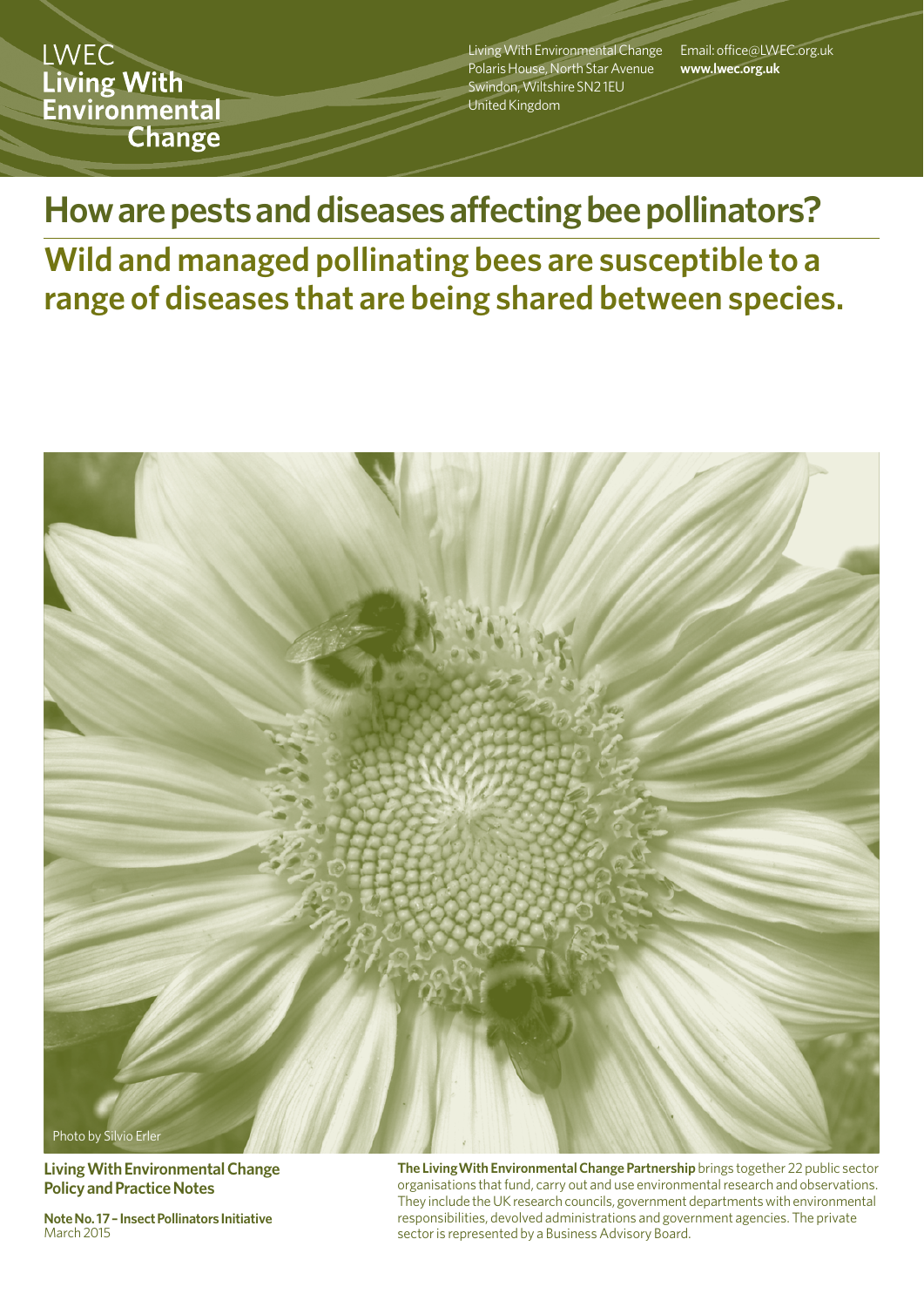**LWEC** Living With Environmental **Change** 

Living With Environmental Change Polaris House, North Star Avenue Swindon, Wiltshire SN2 1EU United Kingdom

Email: office@LWEC.org.uk **www.lwec.org.uk**

**How are pests and diseases affecting bee pollinators?** 

**Wild and managed pollinating bees are susceptible to a range of diseases that are being shared between species.**



**Living With Environmental Change Policy and Practice Notes**

**Note No. 17 – Insect Pollinators Initiative March 2015** 

**The LivingWith Environmental Change Partnership** brings together 22 public sector organisations that fund, carry out and use environmental research and observations. They include the UK research councils, government departments with environmental responsibilities, devolved administrations and government agencies. The private sector is represented by a Business Advisory Board.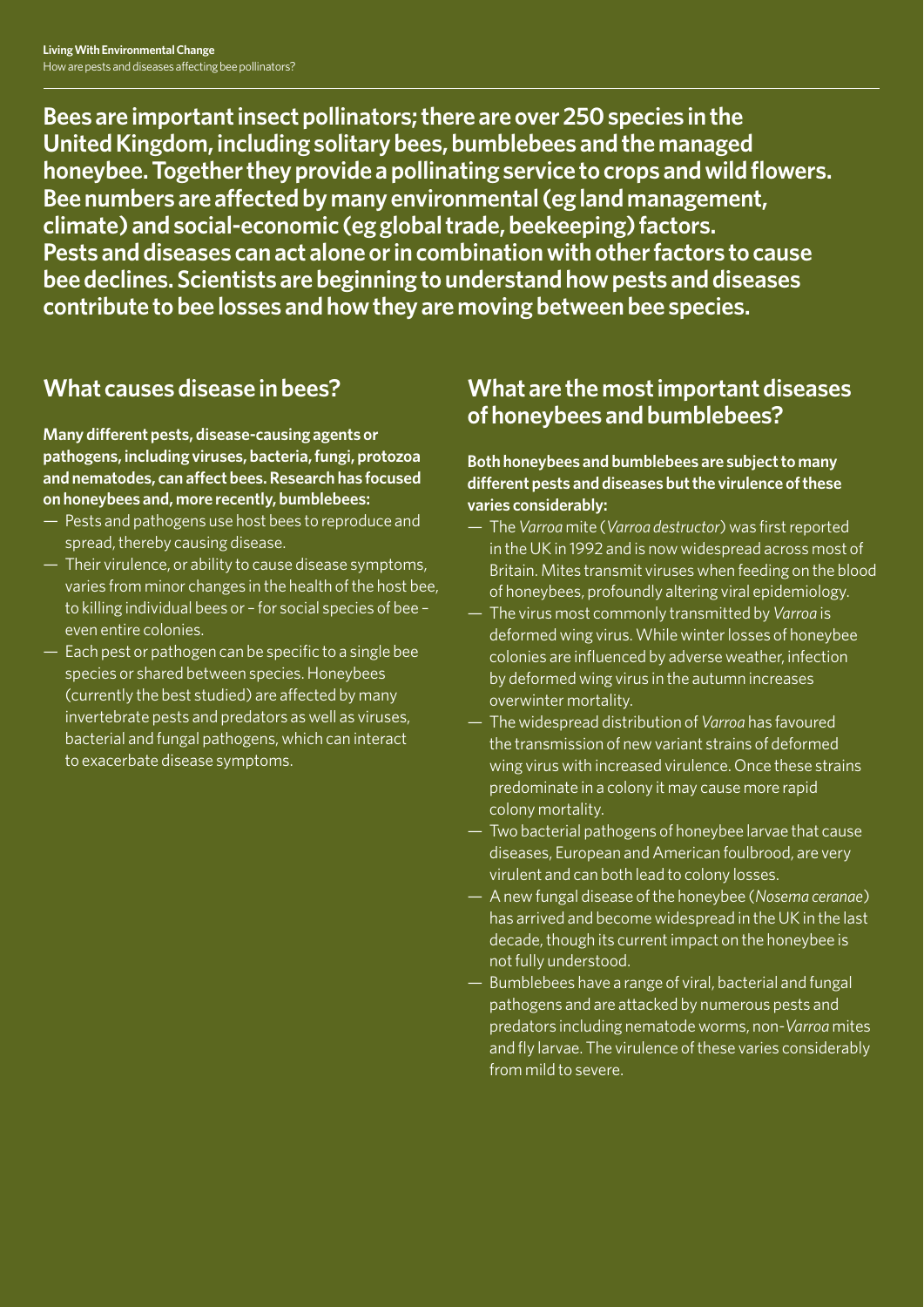**Bees are important insect pollinators; there are over 250 species in the United Kingdom, including solitary bees, bumblebees and the managed honeybee. Together they provide a pollinating service to crops and wild flowers. Bee numbers are affected by many environmental (eg land management, climate) and social-economic (eg global trade, beekeeping) factors. Pests and diseases can act alone or in combination with other factors to cause bee declines. Scientists are beginning to understand how pests and diseases contribute to bee losses and how they are moving between bee species.** 

## **What causes disease in bees?**

**Many different pests, disease-causing agents or pathogens, including viruses, bacteria, fungi, protozoa and nematodes, can affect bees. Research has focused on honeybees and, more recently, bumblebees:**

- Pests and pathogens use host bees to reproduce and spread, thereby causing disease.
- Their virulence, or ability to cause disease symptoms, varies from minor changes in the health of the host bee, to killing individual bees or – for social species of bee – even entire colonies.
- Each pest or pathogen can be specific to a single bee species or shared between species. Honeybees (currently the best studied) are affected by many invertebrate pests and predators as well as viruses, bacterial and fungal pathogens, which can interact to exacerbate disease symptoms.

### **What are the most important diseases of honeybees and bumblebees?**

### **Both honeybees and bumblebees are subject to many different pests and diseases but the virulence of these varies considerably:**

- The *Varroa* mite (*Varroa destructor*) was first reported in the UK in 1992 and is now widespread across most of Britain. Mites transmit viruses when feeding on the blood of honeybees, profoundly altering viral epidemiology.
- The virus most commonly transmitted by *Varroa* is deformed wing virus. While winter losses of honeybee colonies are influenced by adverse weather, infection by deformed wing virus in the autumn increases overwinter mortality.
- The widespread distribution of *Varroa* has favoured the transmission of new variant strains of deformed wing virus with increased virulence. Once these strains predominate in a colony it may cause more rapid colony mortality.
- Two bacterial pathogens of honeybee larvae that cause diseases, European and American foulbrood, are very virulent and can both lead to colony losses.
- A new fungal disease of the honeybee (*Nosema ceranae*) has arrived and become widespread in the UK in the last decade, though its current impact on the honeybee is not fully understood.
- Bumblebees have a range of viral, bacterial and fungal pathogens and are attacked by numerous pests and predators including nematode worms, non-*Varroa* mites and fly larvae. The virulence of these varies considerably from mild to severe.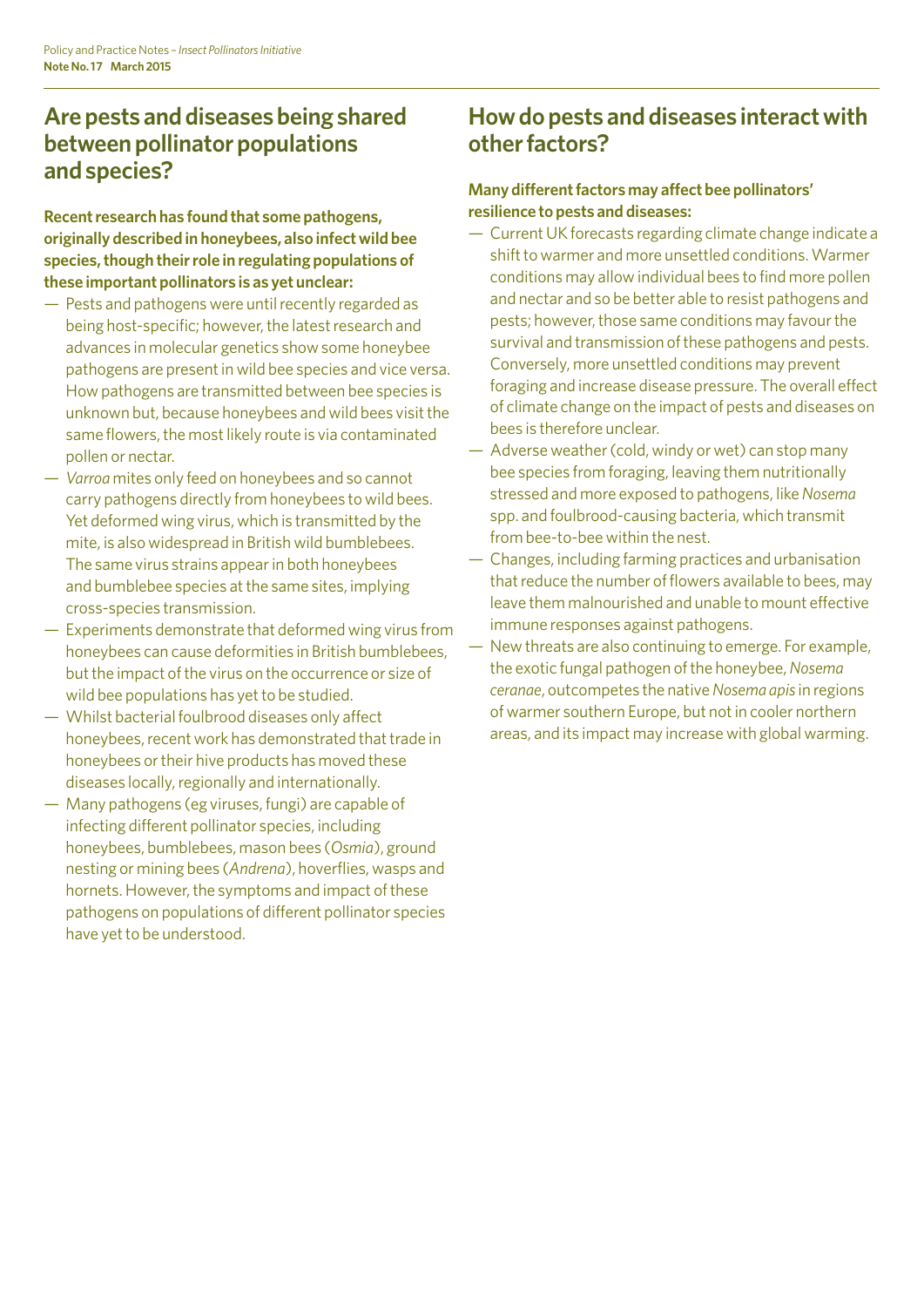# **Are pests and diseases being shared between pollinator populations and species?**

**Recent research has found that some pathogens, originally described in honeybees, also infect wild bee species, though their role in regulating populations of these important pollinators is as yet unclear:** 

- Pests and pathogens were until recently regarded as being host-specific; however, the latest research and advances in molecular genetics show some honeybee pathogens are present in wild bee species and vice versa. How pathogens are transmitted between bee species is unknown but, because honeybees and wild bees visit the same flowers, the most likely route is via contaminated pollen or nectar.
- *Varroa* mites only feed on honeybees and so cannot carry pathogens directly from honeybees to wild bees. Yet deformed wing virus, which is transmitted by the mite, is also widespread in British wild bumblebees. The same virus strains appear in both honeybees and bumblebee species at the same sites, implying cross-species transmission.
- Experiments demonstrate that deformed wing virus from honeybees can cause deformities in British bumblebees, but the impact of the virus on the occurrence or size of wild bee populations has yet to be studied.
- Whilst bacterial foulbrood diseases only affect honeybees, recent work has demonstrated that trade in honeybees or their hive products has moved these diseases locally, regionally and internationally.
- Many pathogens (eg viruses, fungi) are capable of infecting different pollinator species, including honeybees, bumblebees, mason bees (*Osmia*), ground nesting or mining bees (*Andrena*), hoverflies, wasps and hornets. However, the symptoms and impact of these pathogens on populations of different pollinator species have yet to be understood.

### **How do pests and diseases interact with other factors?**

### **Many different factors may affect bee pollinators' resilience to pests and diseases:**

- Current UK forecasts regarding climate change indicate a shift to warmer and more unsettled conditions. Warmer conditions may allow individual bees to find more pollen and nectar and so be better able to resist pathogens and pests; however, those same conditions may favour the survival and transmission of these pathogens and pests. Conversely, more unsettled conditions may prevent foraging and increase disease pressure. The overall effect of climate change on the impact of pests and diseases on bees is therefore unclear.
- Adverse weather (cold, windy or wet) can stop many bee species from foraging, leaving them nutritionally stressed and more exposed to pathogens, like *Nosema* spp. and foulbrood-causing bacteria, which transmit from bee-to-bee within the nest.
- Changes, including farming practices and urbanisation that reduce the number of flowers available to bees, may leave them malnourished and unable to mount effective immune responses against pathogens.
- New threats are also continuing to emerge. For example, the exotic fungal pathogen of the honeybee, *Nosema ceranae*, outcompetes the native *Nosema apis*in regions of warmer southern Europe, but not in cooler northern areas, and its impact may increase with global warming.